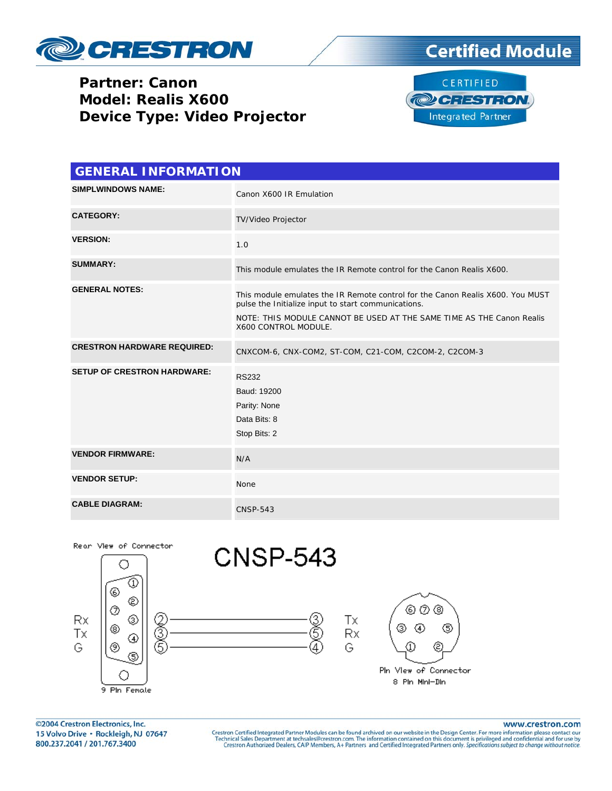

## **Partner: Canon Model: Realis X600 Device Type: Video Projector**





| <b>GENERAL INFORMATION</b>         |                                                                                                                                                                                                                                        |  |  |
|------------------------------------|----------------------------------------------------------------------------------------------------------------------------------------------------------------------------------------------------------------------------------------|--|--|
| <b>SIMPLWINDOWS NAME:</b>          | Canon X600 IR Emulation                                                                                                                                                                                                                |  |  |
| <b>CATEGORY:</b>                   | TV/Video Projector                                                                                                                                                                                                                     |  |  |
| <b>VERSION:</b>                    | 1.0                                                                                                                                                                                                                                    |  |  |
| <b>SUMMARY:</b>                    | This module emulates the IR Remote control for the Canon Realis X600.                                                                                                                                                                  |  |  |
| <b>GENERAL NOTES:</b>              | This module emulates the IR Remote control for the Canon Realis X600. You MUST<br>pulse the Initialize input to start communications.<br>NOTE: THIS MODULE CANNOT BE USED AT THE SAME TIME AS THE Canon Realis<br>X600 CONTROL MODULE. |  |  |
| <b>CRESTRON HARDWARE REQUIRED:</b> | CNXCOM-6, CNX-COM2, ST-COM, C21-COM, C2COM-2, C2COM-3                                                                                                                                                                                  |  |  |
| <b>SETUP OF CRESTRON HARDWARE:</b> | <b>RS232</b><br>Baud: 19200<br>Parity: None<br>Data Bits: 8<br>Stop Bits: 2                                                                                                                                                            |  |  |
| <b>VENDOR FIRMWARE:</b>            | N/A                                                                                                                                                                                                                                    |  |  |
| <b>VENDOR SETUP:</b>               | None                                                                                                                                                                                                                                   |  |  |
| <b>CABLE DIAGRAM:</b>              | <b>CNSP-543</b>                                                                                                                                                                                                                        |  |  |



©2004 Crestron Electronics, Inc. 15 Volvo Drive · Rockleigh, NJ 07647 800.237.2041 / 201.767.3400

www.crestron.com

Crestron Certified Integrated Partner Modules can be found archived on our website in the Design Center. For more information please contact our Technical Sales Department at techsales@crestron.com. The information contain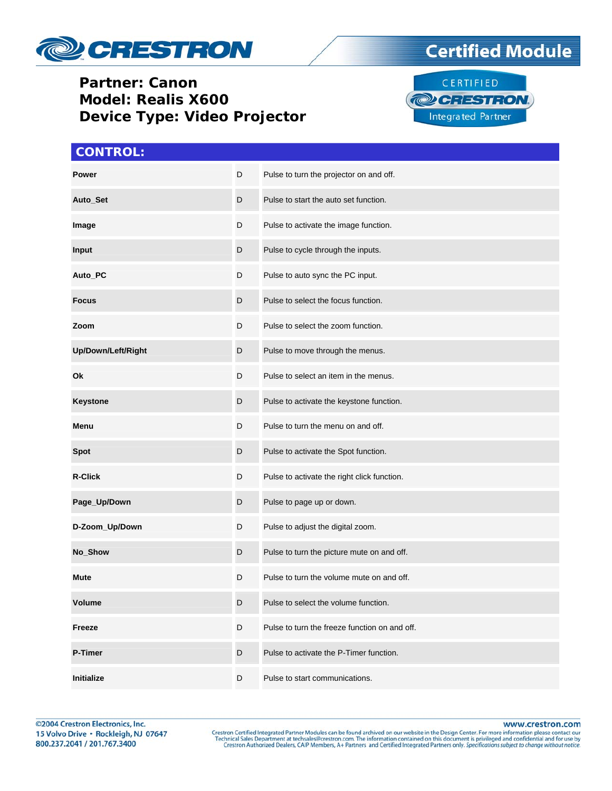

## **Partner: Canon Model: Realis X600 Device Type: Video Projector**

## **CONTROL:**

| Power              | D | Pulse to turn the projector on and off.       |
|--------------------|---|-----------------------------------------------|
| Auto_Set           | D | Pulse to start the auto set function.         |
| Image              | D | Pulse to activate the image function.         |
| <b>Input</b>       | D | Pulse to cycle through the inputs.            |
| Auto_PC            | D | Pulse to auto sync the PC input.              |
| <b>Focus</b>       | D | Pulse to select the focus function.           |
| Zoom               | D | Pulse to select the zoom function.            |
| Up/Down/Left/Right | D | Pulse to move through the menus.              |
| Ok                 | D | Pulse to select an item in the menus.         |
| <b>Keystone</b>    | D | Pulse to activate the keystone function.      |
| Menu               | D | Pulse to turn the menu on and off.            |
| <b>Spot</b>        | D | Pulse to activate the Spot function.          |
| <b>R-Click</b>     | D | Pulse to activate the right click function.   |
| Page_Up/Down       | D | Pulse to page up or down.                     |
| D-Zoom_Up/Down     | D | Pulse to adjust the digital zoom.             |
| No_Show            | D | Pulse to turn the picture mute on and off.    |
| Mute               | D | Pulse to turn the volume mute on and off.     |
| <b>Volume</b>      | D | Pulse to select the volume function.          |
| Freeze             | D | Pulse to turn the freeze function on and off. |
| <b>P-Timer</b>     | D | Pulse to activate the P-Timer function.       |
| Initialize         | D | Pulse to start communications.                |

CERTIFIED **@CRESTRON** Integrated Partner

©2004 Crestron Electronics, Inc. 15 Volvo Drive · Rockleigh, NJ 07647 800.237.2041 / 201.767.3400

www.crestron.com

Crestron Certified Integrated Partner Modules can be found archived on our website in the Design Center. For more information please contact our Technical Sales Department at techsales@crestron.com. The information contain